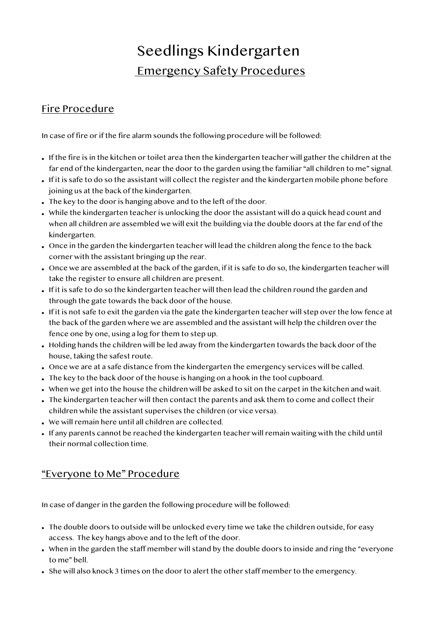## Seedlings Kindergarten Emergency Safety Procedures

## Fire Procedure

In case of fire or if the fire alarm sounds the following procedure will be followed:

- If the fire is in the kitchen or toilet area then the kindergarten teacher will gather the children at the far end of the kindergarten, near the door to the garden using the familiar "all children to me" signal.
- If it is safe to do so the assistant will collect the register and the kindergarten mobile phone before joining us at the back of the kindergarten.
- The key to the door is hanging above and to the left of the door.
- While the kindergarten teacher is unlocking the door the assistant will do a quick head count and when all children are assembled we will exit the building via the double doors at the far end of the kindergarten.
- Once in the garden the kindergarten teacher will lead the children along the fence to the back corner with the assistant bringing up the rear.
- Once we are assembled at the back of the garden, if it is safe to do so, the kindergarten teacher will take the register to ensure all children are present.
- If it is safe to do so the kindergarten teacher will then lead the children round the garden and through the gate towards the back door of the house.
- If it is not safe to exit the garden via the gate the kindergarten teacher will step over the low fence at the back of the garden where we are assembled and the assistant will help the children over the fence one by one, using a log for them to step up.
- Holding hands the children will be led away from the kindergarten towards the back door of the house, taking the safest route.
- Once we are at a safe distance from the kindergarten the emergency services will be called.
- The key to the back door of the house is hanging on a hook in the tool cupboard.
- When we get into the house the children will be asked to sit on the carpet in the kitchen and wait.
- The kindergarten teacher will then contact the parents and ask them to come and collect their children while the assistant supervises the children (or vice versa).
- We will remain here until all children are collected.
- If any parents cannot be reached the kindergarten teacher will remain waiting with the child until their normal collection time.

## "Everyone to Me" Procedure

In case of danger in the garden the following procedure will be followed:

- The double doors to outside will be unlocked every time we take the children outside, for easy access. The key hangs above and to the left of the door.
- When in the garden the staff member will stand by the double doors to inside and ring the "everyone to me" bell.
- She will also knock 3 times on the door to alert the other staff member to the emergency.